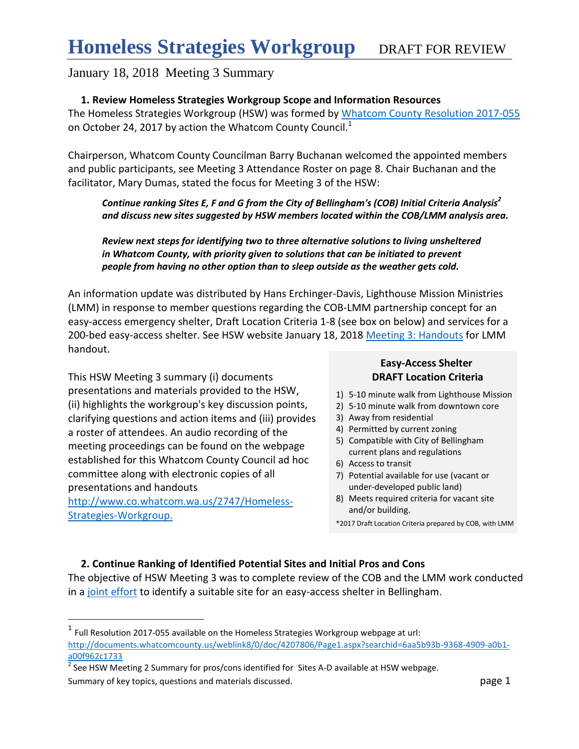#### **1. Review Homeless Strategies Workgroup Scope and Information Resources**

The Homeless Strategies Workgroup (HSW) was formed by [Whatcom County Resolution 2017-055](http://documents.whatcomcounty.us/weblink8/0/doc/4207806/Page1.aspx?searchid=6aa5b93b-9368-4909-a0b1-a00f962c1733) on October 24, 2017 by action the Whatcom County Council.<sup>1</sup>

Chairperson, Whatcom County Councilman Barry Buchanan welcomed the appointed members and public participants, see Meeting 3 Attendance Roster on page 8. Chair Buchanan and the facilitator, Mary Dumas, stated the focus for Meeting 3 of the HSW:

*Continue ranking Sites E, F and G from the City of Bellingham's (COB) Initial Criteria Analysis<sup>2</sup> and discuss new sites suggested by HSW members located within the COB/LMM analysis area.*

*Review next steps for identifying two to three alternative solutions to living unsheltered in Whatcom County, with priority given to solutions that can be initiated to prevent people from having no other option than to sleep outside as the weather gets cold.* 

An information update was distributed by Hans Erchinger-Davis, Lighthouse Mission Ministries (LMM) in response to member questions regarding the COB-LMM partnership concept for an easy-access emergency shelter, Draft Location Criteria 1-8 (see box on below) and services for a 200-bed easy-access shelter. See HSW website January 18, 2018 [Meeting 3: Handouts](http://www.co.whatcom.wa.us/2747/Homeless-Strategies-Workgroup) for LMM handout.

This HSW Meeting 3 summary (i) documents presentations and materials provided to the HSW, (ii) highlights the workgroup's key discussion points, clarifying questions and action items and (iii) provides a roster of attendees. An audio recording of the meeting proceedings can be found on the webpage established for this Whatcom County Council ad hoc committee along with electronic copies of all presentations and handouts [http://www.co.whatcom.wa.us/2747/Homeless-](http://www.co.whatcom.wa.us/2747/Homeless-Strategies-Workgroup.)

[Strategies-Workgroup.](http://www.co.whatcom.wa.us/2747/Homeless-Strategies-Workgroup.)

 $\overline{a}$ 

### **Easy-Access Shelter DRAFT Location Criteria**

- 1) 5-10 minute walk from Lighthouse Mission
- 2) 5-10 minute walk from downtown core
- 3) Away from residential
- 4) Permitted by current zoning
- 5) Compatible with City of Bellingham current plans and regulations
- 6) Access to transit
- 7) Potential available for use (vacant or under-developed public land)
- 8) Meets required criteria for vacant site and/or building.

#### **2. Continue Ranking of Identified Potential Sites and Initial Pros and Cons**

The objective of HSW Meeting 3 was to complete review of the COB and the LMM work conducted in a [joint effort](https://www.cob.org/services/housing/Pages/emergency-night-shelter-proposal.aspx) to identify a suitable site for an easy-access shelter in Bellingham.

<sup>\*2017</sup> Draft Location Criteria prepared by COB, with LMM

 $<sup>1</sup>$  Full Resolution 2017-055 available on the Homeless Strategies Workgroup webpage at url:</sup> [http://documents.whatcomcounty.us/weblink8/0/doc/4207806/Page1.aspx?searchid=6aa5b93b-9368-4909-a0b1](http://documents.whatcomcounty.us/weblink8/0/doc/4207806/Page1.aspx?searchid=6aa5b93b-9368-4909-a0b1-a00f962c1733) [a00f962c1733](http://documents.whatcomcounty.us/weblink8/0/doc/4207806/Page1.aspx?searchid=6aa5b93b-9368-4909-a0b1-a00f962c1733)

Summary of key topics, questions and materials discussed. **page 1** and page 1  $^{2}$  See HSW Meeting 2 Summary for pros/cons identified for Sites A-D available at HSW webpage.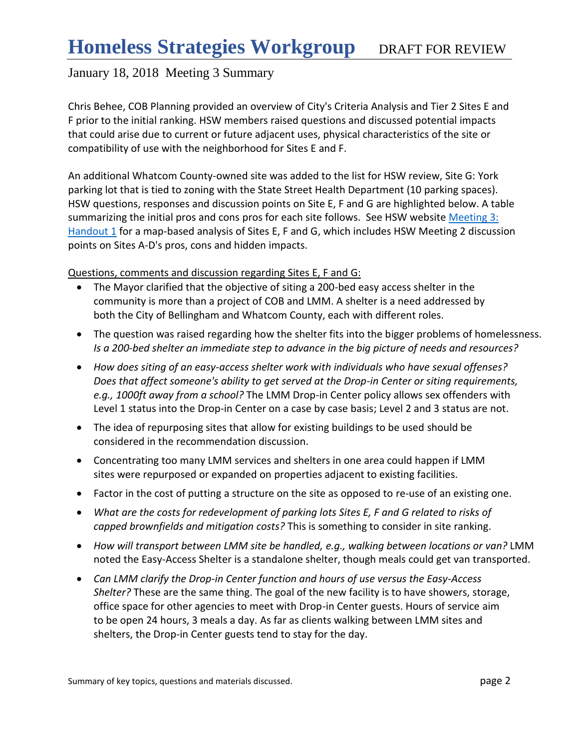Chris Behee, COB Planning provided an overview of City's Criteria Analysis and Tier 2 Sites E and F prior to the initial ranking. HSW members raised questions and discussed potential impacts that could arise due to current or future adjacent uses, physical characteristics of the site or compatibility of use with the neighborhood for Sites E and F.

An additional Whatcom County-owned site was added to the list for HSW review, Site G: York parking lot that is tied to zoning with the State Street Health Department (10 parking spaces). HSW questions, responses and discussion points on Site E, F and G are highlighted below. A table summarizing the initial pros and cons pros for each site follows. See HSW website Meeting 3: [Handout](http://www.co.whatcom.wa.us/2747/Homeless-Strategies-Workgroup) 1 for a map-based analysis of Sites E, F and G, which includes HSW Meeting 2 discussion points on Sites A-D's pros, cons and hidden impacts.

#### Questions, comments and discussion regarding Sites E, F and G:

- The Mayor clarified that the objective of siting a 200-bed easy access shelter in the community is more than a project of COB and LMM. A shelter is a need addressed by both the City of Bellingham and Whatcom County, each with different roles.
- The question was raised regarding how the shelter fits into the bigger problems of homelessness. *Is a 200-bed shelter an immediate step to advance in the big picture of needs and resources?*
- *How does siting of an easy-access shelter work with individuals who have sexual offenses? Does that affect someone's ability to get served at the Drop-in Center or siting requirements, e.g., 1000ft away from a school?* The LMM Drop-in Center policy allows sex offenders with Level 1 status into the Drop-in Center on a case by case basis; Level 2 and 3 status are not.
- The idea of repurposing sites that allow for existing buildings to be used should be considered in the recommendation discussion.
- Concentrating too many LMM services and shelters in one area could happen if LMM sites were repurposed or expanded on properties adjacent to existing facilities.
- Factor in the cost of putting a structure on the site as opposed to re-use of an existing one.
- *What are the costs for redevelopment of parking lots Sites E, F and G related to risks of capped brownfields and mitigation costs?* This is something to consider in site ranking.
- How will transport between LMM site be handled, e.g., walking between locations or van? LMM noted the Easy-Access Shelter is a standalone shelter, though meals could get van transported.
- *Can LMM clarify the Drop-in Center function and hours of use versus the Easy-Access Shelter?* These are the same thing. The goal of the new facility is to have showers, storage, office space for other agencies to meet with Drop-in Center guests. Hours of service aim to be open 24 hours, 3 meals a day. As far as clients walking between LMM sites and shelters, the Drop-in Center guests tend to stay for the day.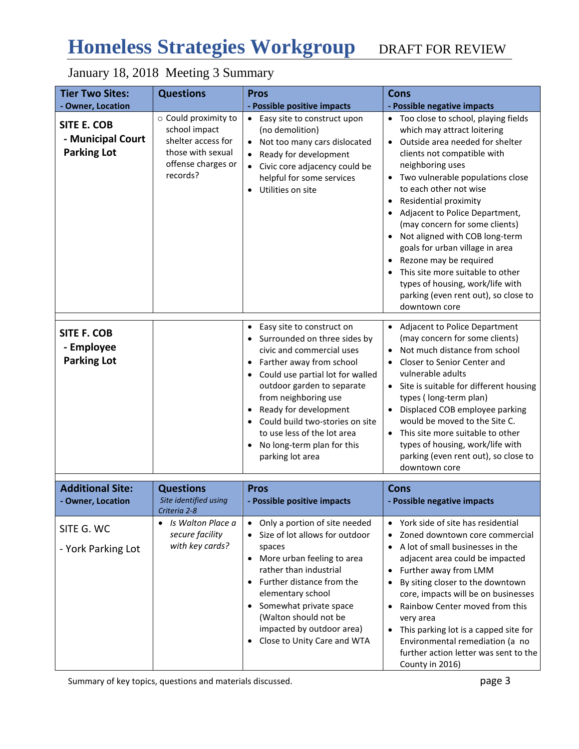# **Homeless Strategies Workgroup** DRAFT FOR REVIEW

# January 18, 2018 Meeting 3 Summary

| <b>Tier Two Sites:</b>                                        | <b>Questions</b>                                                                                                   | <b>Pros</b>                                                                                                                                                                                                                                                                                                                                                              | <b>Cons</b>                                                                                                                                                                                                                                                                                                                                                                                                                                                                                                                                                        |  |  |
|---------------------------------------------------------------|--------------------------------------------------------------------------------------------------------------------|--------------------------------------------------------------------------------------------------------------------------------------------------------------------------------------------------------------------------------------------------------------------------------------------------------------------------------------------------------------------------|--------------------------------------------------------------------------------------------------------------------------------------------------------------------------------------------------------------------------------------------------------------------------------------------------------------------------------------------------------------------------------------------------------------------------------------------------------------------------------------------------------------------------------------------------------------------|--|--|
| - Owner, Location                                             |                                                                                                                    | - Possible positive impacts                                                                                                                                                                                                                                                                                                                                              | - Possible negative impacts                                                                                                                                                                                                                                                                                                                                                                                                                                                                                                                                        |  |  |
| <b>SITE E. COB</b><br>- Municipal Court<br><b>Parking Lot</b> | o Could proximity to<br>school impact<br>shelter access for<br>those with sexual<br>offense charges or<br>records? | • Easy site to construct upon<br>(no demolition)<br>Not too many cars dislocated<br>$\bullet$<br>Ready for development<br>Civic core adjacency could be<br>helpful for some services<br>Utilities on site                                                                                                                                                                | Too close to school, playing fields<br>which may attract loitering<br>Outside area needed for shelter<br>$\bullet$<br>clients not compatible with<br>neighboring uses<br>• Two vulnerable populations close<br>to each other not wise<br>Residential proximity<br>Adjacent to Police Department,<br>(may concern for some clients)<br>Not aligned with COB long-term<br>goals for urban village in area<br>Rezone may be required<br>This site more suitable to other<br>types of housing, work/life with<br>parking (even rent out), so close to<br>downtown core |  |  |
| <b>SITE F. COB</b><br>- Employee<br><b>Parking Lot</b>        |                                                                                                                    | Easy site to construct on<br>Surrounded on three sides by<br>civic and commercial uses<br>• Farther away from school<br>Could use partial lot for walled<br>$\bullet$<br>outdoor garden to separate<br>from neighboring use<br>Ready for development<br>Could build two-stories on site<br>to use less of the lot area<br>No long-term plan for this<br>parking lot area | <b>Adjacent to Police Department</b><br>(may concern for some clients)<br>Not much distance from school<br>Closer to Senior Center and<br>$\bullet$<br>vulnerable adults<br>• Site is suitable for different housing<br>types (long-term plan)<br>Displaced COB employee parking<br>would be moved to the Site C.<br>• This site more suitable to other<br>types of housing, work/life with<br>parking (even rent out), so close to<br>downtown core                                                                                                               |  |  |
| <b>Additional Site:</b><br>- Owner, Location                  | <b>Questions</b><br>Site identified using<br>Criteria 2-8                                                          | <b>Pros</b><br>- Possible positive impacts                                                                                                                                                                                                                                                                                                                               | <b>Cons</b><br>- Possible negative impacts                                                                                                                                                                                                                                                                                                                                                                                                                                                                                                                         |  |  |
| SITE G. WC<br>- York Parking Lot                              | Is Walton Place a<br>$\bullet$<br>secure facility<br>with key cards?                                               | Only a portion of site needed<br>$\bullet$<br>Size of lot allows for outdoor<br>spaces<br>More urban feeling to area<br>rather than industrial<br>Further distance from the<br>elementary school<br>Somewhat private space<br>$\bullet$<br>(Walton should not be<br>impacted by outdoor area)<br>Close to Unity Care and WTA                                             | York side of site has residential<br>Zoned downtown core commercial<br>A lot of small businesses in the<br>adjacent area could be impacted<br>Further away from LMM<br>By siting closer to the downtown<br>core, impacts will be on businesses<br>Rainbow Center moved from this<br>very area<br>This parking lot is a capped site for<br>Environmental remediation (a no<br>further action letter was sent to the<br>County in 2016)                                                                                                                              |  |  |

Summary of key topics, questions and materials discussed. **page 3** page 3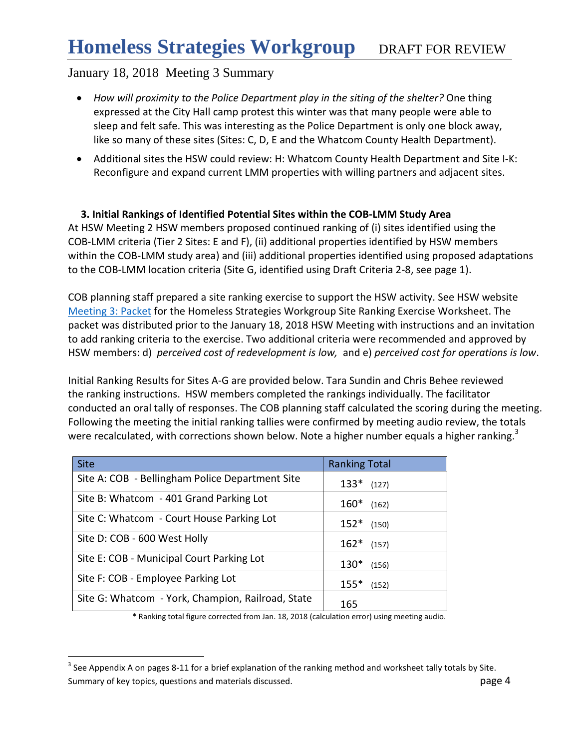- *How will proximity to the Police Department play in the siting of the shelter?* One thing expressed at the City Hall camp protest this winter was that many people were able to sleep and felt safe. This was interesting as the Police Department is only one block away, like so many of these sites (Sites: C, D, E and the Whatcom County Health Department).
- Additional sites the HSW could review: H: Whatcom County Health Department and Site I-K: Reconfigure and expand current LMM properties with willing partners and adjacent sites.

### **3. Initial Rankings of Identified Potential Sites within the COB-LMM Study Area**

At HSW Meeting 2 HSW members proposed continued ranking of (i) sites identified using the COB-LMM criteria (Tier 2 Sites: E and F), (ii) additional properties identified by HSW members within the COB-LMM study area) and (iii) additional properties identified using proposed adaptations to the COB-LMM location criteria (Site G, identified using Draft Criteria 2-8, see page 1).

COB planning staff prepared a site ranking exercise to support the HSW activity. See HSW website [Meeting 3: Packet](http://www.co.whatcom.wa.us/2747/Homeless-Strategies-Workgroup) for the Homeless Strategies Workgroup Site Ranking Exercise Worksheet. The packet was distributed prior to the January 18, 2018 HSW Meeting with instructions and an invitation to add ranking criteria to the exercise. Two additional criteria were recommended and approved by HSW members: d) *perceived cost of redevelopment is low,* and e) *perceived cost for operations is low*.

Initial Ranking Results for Sites A-G are provided below. Tara Sundin and Chris Behee reviewed the ranking instructions. HSW members completed the rankings individually. The facilitator conducted an oral tally of responses. The COB planning staff calculated the scoring during the meeting. Following the meeting the initial ranking tallies were confirmed by meeting audio review, the totals were recalculated, with corrections shown below. Note a higher number equals a higher ranking.<sup>3</sup>

| <b>Site</b>                                       | <b>Ranking Total</b> |
|---------------------------------------------------|----------------------|
| Site A: COB - Bellingham Police Department Site   | $133*$ (127)         |
| Site B: Whatcom - 401 Grand Parking Lot           | $160*$ (162)         |
| Site C: Whatcom - Court House Parking Lot         | $152*$ (150)         |
| Site D: COB - 600 West Holly                      | $162*$ (157)         |
| Site E: COB - Municipal Court Parking Lot         | $130*$<br>(156)      |
| Site F: COB - Employee Parking Lot                | $155*$ (152)         |
| Site G: Whatcom - York, Champion, Railroad, State | 165                  |

 $\overline{a}$ 

\* Ranking total figure corrected from Jan. 18, 2018 (calculation error) using meeting audio.

Summary of key topics, questions and materials discussed. **page 4** and page 4 <sup>3</sup> See Appendix A on pages 8-11 for a brief explanation of the ranking method and worksheet tally totals by Site.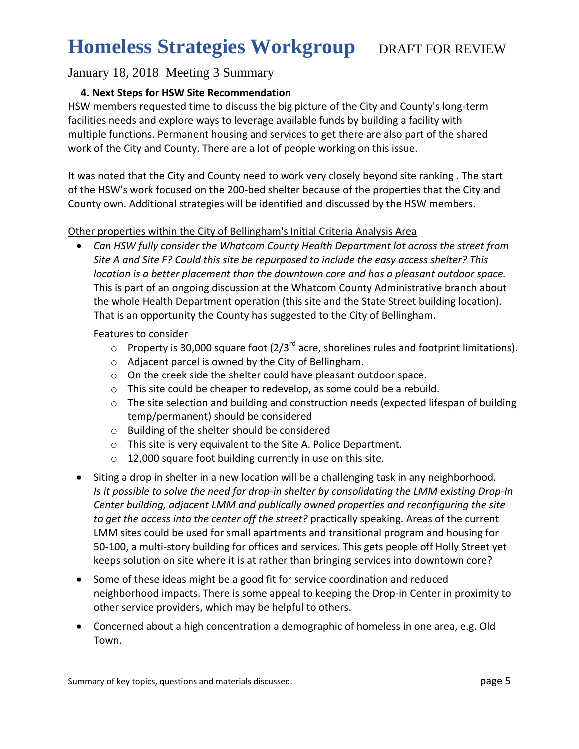#### **4. Next Steps for HSW Site Recommendation**

HSW members requested time to discuss the big picture of the City and County's long-term facilities needs and explore ways to leverage available funds by building a facility with multiple functions. Permanent housing and services to get there are also part of the shared work of the City and County. There are a lot of people working on this issue.

It was noted that the City and County need to work very closely beyond site ranking . The start of the HSW's work focused on the 200-bed shelter because of the properties that the City and County own. Additional strategies will be identified and discussed by the HSW members.

#### Other properties within the City of Bellingham's Initial Criteria Analysis Area

 *Can HSW fully consider the Whatcom County Health Department lot across the street from Site A and Site F? Could this site be repurposed to include the easy access shelter? This location is a better placement than the downtown core and has a pleasant outdoor space.*  This is part of an ongoing discussion at the Whatcom County Administrative branch about the whole Health Department operation (this site and the State Street building location). That is an opportunity the County has suggested to the City of Bellingham.

Features to consider

- $\circ$  Property is 30,000 square foot (2/3<sup>rd</sup> acre, shorelines rules and footprint limitations).
- o Adjacent parcel is owned by the City of Bellingham.
- o On the creek side the shelter could have pleasant outdoor space.
- o This site could be cheaper to redevelop, as some could be a rebuild.
- o The site selection and building and construction needs (expected lifespan of building temp/permanent) should be considered
- o Building of the shelter should be considered
- o This site is very equivalent to the Site A. Police Department.
- o 12,000 square foot building currently in use on this site.
- Siting a drop in shelter in a new location will be a challenging task in any neighborhood. *Is it possible to solve the need for drop-in shelter by consolidating the LMM existing Drop-In Center building, adjacent LMM and publically owned properties and reconfiguring the site to get the access into the center off the street?* practically speaking. Areas of the current LMM sites could be used for small apartments and transitional program and housing for 50-100, a multi-story building for offices and services. This gets people off Holly Street yet keeps solution on site where it is at rather than bringing services into downtown core?
- Some of these ideas might be a good fit for service coordination and reduced neighborhood impacts. There is some appeal to keeping the Drop-in Center in proximity to other service providers, which may be helpful to others.
- Concerned about a high concentration a demographic of homeless in one area, e.g. Old Town.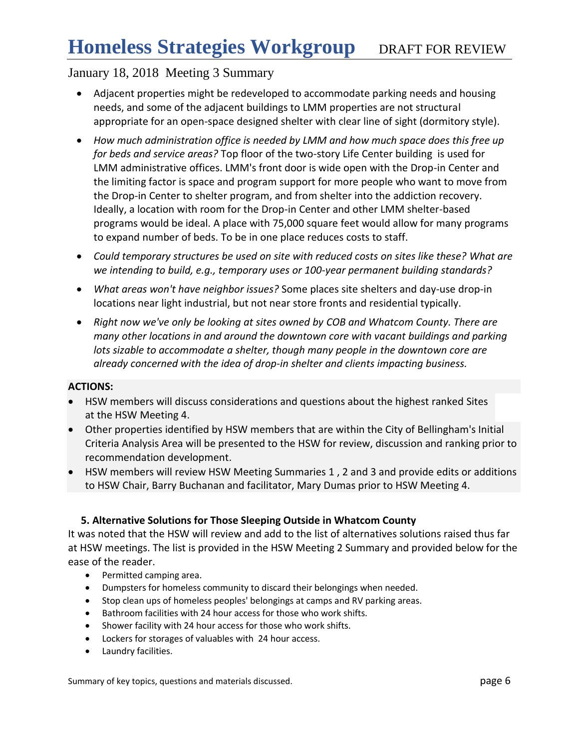- Adjacent properties might be redeveloped to accommodate parking needs and housing needs, and some of the adjacent buildings to LMM properties are not structural appropriate for an open-space designed shelter with clear line of sight (dormitory style).
- *How much administration office is needed by LMM and how much space does this free up for beds and service areas?* Top floor of the two-story Life Center building is used for LMM administrative offices. LMM's front door is wide open with the Drop-in Center and the limiting factor is space and program support for more people who want to move from the Drop-in Center to shelter program, and from shelter into the addiction recovery. Ideally, a location with room for the Drop-in Center and other LMM shelter-based programs would be ideal. A place with 75,000 square feet would allow for many programs to expand number of beds. To be in one place reduces costs to staff.
- *Could temporary structures be used on site with reduced costs on sites like these? What are we intending to build, e.g., temporary uses or 100-year permanent building standards?*
- *What areas won't have neighbor issues?* Some places site shelters and day-use drop-in locations near light industrial, but not near store fronts and residential typically.
- *Right now we've only be looking at sites owned by COB and Whatcom County. There are many other locations in and around the downtown core with vacant buildings and parking lots sizable to accommodate a shelter, though many people in the downtown core are already concerned with the idea of drop-in shelter and clients impacting business.*

#### **ACTIONS:**

- HSW members will discuss considerations and questions about the highest ranked Sites at the HSW Meeting 4.
- Other properties identified by HSW members that are within the City of Bellingham's Initial Criteria Analysis Area will be presented to the HSW for review, discussion and ranking prior to recommendation development.
- HSW members will review HSW Meeting Summaries 1 , 2 and 3 and provide edits or additions to HSW Chair, Barry Buchanan and facilitator, Mary Dumas prior to HSW Meeting 4.

#### **5. Alternative Solutions for Those Sleeping Outside in Whatcom County**

It was noted that the HSW will review and add to the list of alternatives solutions raised thus far at HSW meetings. The list is provided in the HSW Meeting 2 Summary and provided below for the ease of the reader.

- Permitted camping area.
- Dumpsters for homeless community to discard their belongings when needed.
- Stop clean ups of homeless peoples' belongings at camps and RV parking areas.
- Bathroom facilities with 24 hour access for those who work shifts.
- Shower facility with 24 hour access for those who work shifts.
- Lockers for storages of valuables with 24 hour access.
- Laundry facilities.

Summary of key topics, questions and materials discussed. **page 6** and page 6 and page 6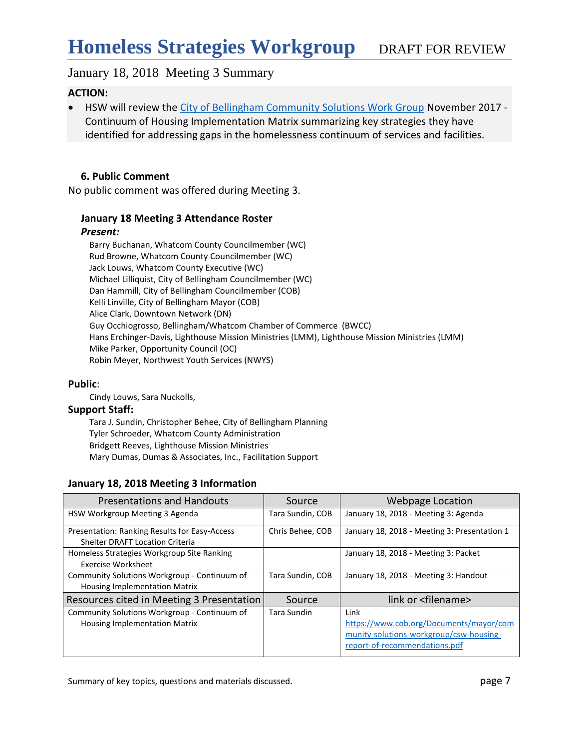#### **ACTION:**

 HSW will review the [City of Bellingham Community Solutions Work Group](https://www.cob.org/Documents/mayor/community-solutions-workgroup/csw-housing-report-of-recommendations.pdf) November 2017 - Continuum of Housing Implementation Matrix summarizing key strategies they have identified for addressing gaps in the homelessness continuum of services and facilities.

#### **6. Public Comment**

No public comment was offered during Meeting 3.

#### **January 18 Meeting 3 Attendance Roster**

#### *Present:*

Barry Buchanan, Whatcom County Councilmember (WC) Rud Browne, Whatcom County Councilmember (WC) Jack Louws, Whatcom County Executive (WC) Michael Lilliquist, City of Bellingham Councilmember (WC) Dan Hammill, City of Bellingham Councilmember (COB) Kelli Linville, City of Bellingham Mayor (COB) Alice Clark, Downtown Network (DN) Guy Occhiogrosso, Bellingham/Whatcom Chamber of Commerce (BWCC) Hans Erchinger-Davis, Lighthouse Mission Ministries (LMM), Lighthouse Mission Ministries (LMM) Mike Parker, Opportunity Council (OC) Robin Meyer, Northwest Youth Services (NWYS)

#### **Public**:

Cindy Louws, Sara Nuckolls,

#### **Support Staff:**

Tara J. Sundin, Christopher Behee, City of Bellingham Planning Tyler Schroeder, Whatcom County Administration Bridgett Reeves, Lighthouse Mission Ministries Mary Dumas, Dumas & Associates, Inc., Facilitation Support

#### **January 18, 2018 Meeting 3 Information**

| <b>Presentations and Handouts</b>                                                       | Source           | Webpage Location                                                                                                            |
|-----------------------------------------------------------------------------------------|------------------|-----------------------------------------------------------------------------------------------------------------------------|
| HSW Workgroup Meeting 3 Agenda                                                          | Tara Sundin, COB | January 18, 2018 - Meeting 3: Agenda                                                                                        |
| Presentation: Ranking Results for Easy-Access<br><b>Shelter DRAFT Location Criteria</b> | Chris Behee, COB | January 18, 2018 - Meeting 3: Presentation 1                                                                                |
| Homeless Strategies Workgroup Site Ranking<br><b>Exercise Worksheet</b>                 |                  | January 18, 2018 - Meeting 3: Packet                                                                                        |
| Community Solutions Workgroup - Continuum of<br>Housing Implementation Matrix           | Tara Sundin, COB | January 18, 2018 - Meeting 3: Handout                                                                                       |
| Resources cited in Meeting 3 Presentation                                               | Source           | link or <filename></filename>                                                                                               |
| Community Solutions Workgroup - Continuum of<br><b>Housing Implementation Matrix</b>    | Tara Sundin      | Link<br>https://www.cob.org/Documents/mayor/com<br>munity-solutions-workgroup/csw-housing-<br>report-of-recommendations.pdf |

Summary of key topics, questions and materials discussed. **page 7** page 7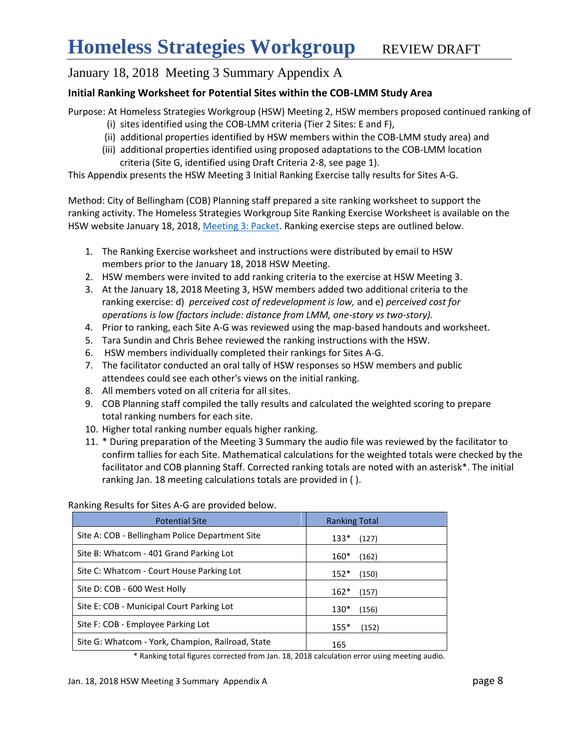## January 18, 2018 Meeting 3 Summary Appendix A

#### **Initial Ranking Worksheet for Potential Sites within the COB-LMM Study Area**

Purpose: At Homeless Strategies Workgroup (HSW) Meeting 2, HSW members proposed continued ranking of

- (i) sites identified using the COB-LMM criteria (Tier 2 Sites: E and F),
- (ii) additional properties identified by HSW members within the COB-LMM study area) and
- (iii) additional properties identified using proposed adaptations to the COB-LMM location criteria (Site G, identified using Draft Criteria 2-8, see page 1).

This Appendix presents the HSW Meeting 3 Initial Ranking Exercise tally results for Sites A-G.

Method: City of Bellingham (COB) Planning staff prepared a site ranking worksheet to support the ranking activity. The Homeless Strategies Workgroup Site Ranking Exercise Worksheet is available on the HSW website January 18, 2018[, Meeting 3: Packet.](http://www.co.whatcom.wa.us/2747/Homeless-Strategies-Workgroup) Ranking exercise steps are outlined below.

- 1. The Ranking Exercise worksheet and instructions were distributed by email to HSW members prior to the January 18, 2018 HSW Meeting.
- 2. HSW members were invited to add ranking criteria to the exercise at HSW Meeting 3.
- 3. At the January 18, 2018 Meeting 3, HSW members added two additional criteria to the ranking exercise: d) *perceived cost of redevelopment is low,* and e) *perceived cost for operations is low (factors include: distance from LMM, one-story vs two-story).*
- 4. Prior to ranking, each Site A-G was reviewed using the map-based handouts and worksheet.
- 5. Tara Sundin and Chris Behee reviewed the ranking instructions with the HSW.
- 6. HSW members individually completed their rankings for Sites A-G.
- 7. The facilitator conducted an oral tally of HSW responses so HSW members and public attendees could see each other's views on the initial ranking.
- 8. All members voted on all criteria for all sites.
- 9. COB Planning staff compiled the tally results and calculated the weighted scoring to prepare total ranking numbers for each site.
- 10. Higher total ranking number equals higher ranking.
- 11. \* During preparation of the Meeting 3 Summary the audio file was reviewed by the facilitator to confirm tallies for each Site. Mathematical calculations for the weighted totals were checked by the facilitator and COB planning Staff. Corrected ranking totals are noted with an asterisk\*. The initial ranking Jan. 18 meeting calculations totals are provided in ( ).

| <b>Potential Site</b>                             | <b>Ranking Total</b> |  |  |  |
|---------------------------------------------------|----------------------|--|--|--|
| Site A: COB - Bellingham Police Department Site   | $133*$<br>(127)      |  |  |  |
| Site B: Whatcom - 401 Grand Parking Lot           | $160*$<br>(162)      |  |  |  |
| Site C: Whatcom - Court House Parking Lot         | $152*$<br>(150)      |  |  |  |
| Site D: COB - 600 West Holly                      | $162*$<br>(157)      |  |  |  |
| Site E: COB - Municipal Court Parking Lot         | $130*$<br>(156)      |  |  |  |
| Site F: COB - Employee Parking Lot                | $155*$<br>(152)      |  |  |  |
| Site G: Whatcom - York, Champion, Railroad, State | 165                  |  |  |  |

Ranking Results for Sites A-G are provided below.

\* Ranking total figures corrected from Jan. 18, 2018 calculation error using meeting audio.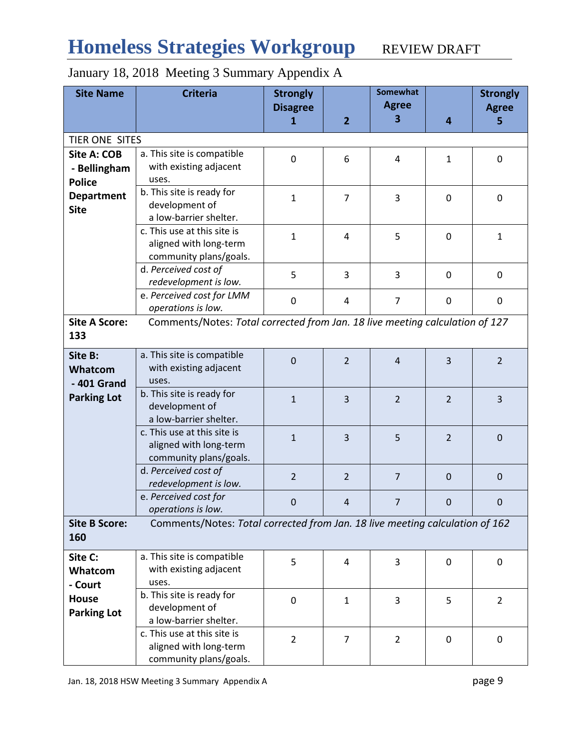# Homeless Strategies Workgroup REVIEW DRAFT

| <b>Site Name</b>     | <b>Criteria</b>                                                              | <b>Strongly</b> |                | Somewhat       |                | <b>Strongly</b> |  |
|----------------------|------------------------------------------------------------------------------|-----------------|----------------|----------------|----------------|-----------------|--|
|                      |                                                                              | <b>Disagree</b> |                | <b>Agree</b>   |                | <b>Agree</b>    |  |
|                      |                                                                              | 1               | $\overline{2}$ | 3              | 4              | 5               |  |
|                      |                                                                              |                 |                |                |                |                 |  |
|                      | TIER ONE SITES                                                               |                 |                |                |                |                 |  |
| Site A: COB          | a. This site is compatible                                                   | $\mathbf 0$     | 6              | 4              | $\mathbf{1}$   | $\mathbf 0$     |  |
| - Bellingham         | with existing adjacent                                                       |                 |                |                |                |                 |  |
| <b>Police</b>        | uses.                                                                        |                 |                |                |                |                 |  |
| <b>Department</b>    | b. This site is ready for                                                    | $\mathbf{1}$    | $\overline{7}$ | 3              | $\mathbf 0$    | $\mathbf 0$     |  |
| <b>Site</b>          | development of                                                               |                 |                |                |                |                 |  |
|                      | a low-barrier shelter.                                                       |                 |                |                |                |                 |  |
|                      | c. This use at this site is                                                  | $\mathbf{1}$    | 4              | 5              |                | $\mathbf{1}$    |  |
|                      | aligned with long-term                                                       |                 |                |                | 0              |                 |  |
|                      | community plans/goals.                                                       |                 |                |                |                |                 |  |
|                      | d. Perceived cost of                                                         |                 |                |                |                |                 |  |
|                      | redevelopment is low.                                                        | 5               | 3              | 3              | $\Omega$       | 0               |  |
|                      | e. Perceived cost for LMM                                                    |                 |                |                |                |                 |  |
|                      | operations is low.                                                           | $\mathbf 0$     | 4              | $\overline{7}$ | 0              | 0               |  |
| <b>Site A Score:</b> | Comments/Notes: Total corrected from Jan. 18 live meeting calculation of 127 |                 |                |                |                |                 |  |
| 133                  |                                                                              |                 |                |                |                |                 |  |
|                      |                                                                              |                 |                |                |                |                 |  |
| Site B:              | a. This site is compatible                                                   | $\mathbf 0$     | $\overline{2}$ | $\overline{4}$ | 3              | $\overline{2}$  |  |
| Whatcom              | with existing adjacent                                                       |                 |                |                |                |                 |  |
| $-401$ Grand         | uses.                                                                        |                 |                |                |                |                 |  |
| <b>Parking Lot</b>   | b. This site is ready for                                                    | $\mathbf{1}$    | $\overline{3}$ | $\overline{2}$ | $\overline{2}$ | 3               |  |
|                      | development of                                                               |                 |                |                |                |                 |  |
|                      | a low-barrier shelter.                                                       |                 |                |                |                |                 |  |
|                      | c. This use at this site is                                                  | $\mathbf{1}$    | 3              | 5              | $\overline{2}$ | $\mathbf 0$     |  |
|                      | aligned with long-term                                                       |                 |                |                |                |                 |  |
|                      | community plans/goals.                                                       |                 |                |                |                |                 |  |
|                      | d. Perceived cost of                                                         | $\overline{2}$  | $\overline{2}$ | $\overline{7}$ | $\mathbf 0$    |                 |  |
|                      | redevelopment is low.                                                        |                 |                |                |                | $\mathbf 0$     |  |
|                      | e. Perceived cost for                                                        |                 |                |                |                |                 |  |
|                      | operations is low.                                                           | $\mathbf{0}$    | 4              | $\overline{7}$ | $\mathbf 0$    | $\mathbf 0$     |  |
| <b>Site B Score:</b> | Comments/Notes: Total corrected from Jan. 18 live meeting calculation of 162 |                 |                |                |                |                 |  |
| 160                  |                                                                              |                 |                |                |                |                 |  |
|                      |                                                                              |                 |                |                |                |                 |  |
| Site C:              | a. This site is compatible                                                   | 5               | 4              | 3              | 0              | 0               |  |
| Whatcom              | with existing adjacent                                                       |                 |                |                |                |                 |  |
| - Court              | uses.                                                                        |                 |                |                |                |                 |  |
| <b>House</b>         | b. This site is ready for                                                    | $\mathbf 0$     | $\mathbf{1}$   | 3              | 5              | $\overline{2}$  |  |
| <b>Parking Lot</b>   | development of                                                               |                 |                |                |                |                 |  |
|                      | a low-barrier shelter.                                                       |                 |                |                |                |                 |  |
|                      | c. This use at this site is                                                  | $\overline{2}$  | $\overline{7}$ | $\overline{2}$ | 0              | 0               |  |
|                      | aligned with long-term                                                       |                 |                |                |                |                 |  |
|                      | community plans/goals.                                                       |                 |                |                |                |                 |  |

# January 18, 2018 Meeting 3 Summary Appendix A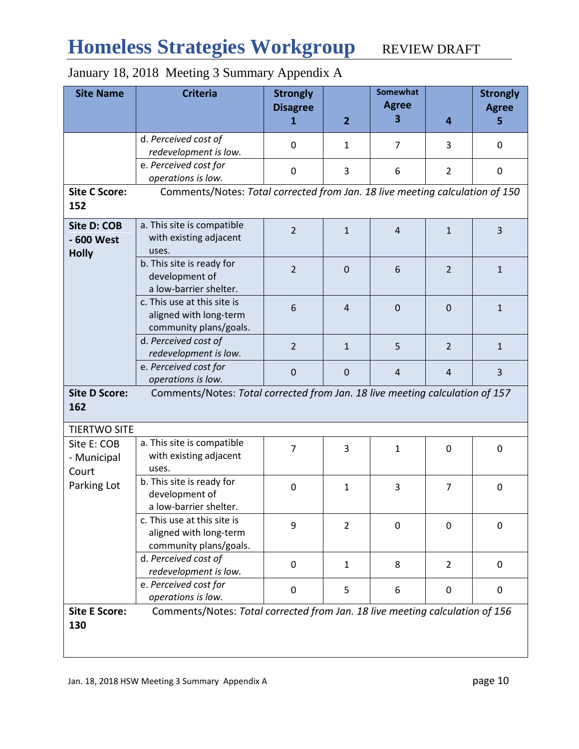# Homeless Strategies Workgroup REVIEW DRAFT

# January 18, 2018 Meeting 3 Summary Appendix A

| <b>Site Name</b>                                   | <b>Criteria</b>                                                                 | <b>Strongly</b> |                | <b>Somewhat</b>    |                | <b>Strongly</b>   |
|----------------------------------------------------|---------------------------------------------------------------------------------|-----------------|----------------|--------------------|----------------|-------------------|
|                                                    |                                                                                 | <b>Disagree</b> | $\overline{2}$ | <b>Agree</b><br>3. | 4              | <b>Agree</b><br>5 |
|                                                    |                                                                                 | 1               |                |                    |                |                   |
|                                                    | d. Perceived cost of<br>redevelopment is low.                                   | $\mathbf 0$     | $\mathbf{1}$   | 7                  | 3              | 0                 |
|                                                    | e. Perceived cost for                                                           |                 |                |                    |                |                   |
|                                                    | operations is low.                                                              | $\mathbf 0$     | 3              | 6                  | $\overline{2}$ | $\mathbf 0$       |
| <b>Site C Score:</b><br>152                        | Comments/Notes: Total corrected from Jan. 18 live meeting calculation of 150    |                 |                |                    |                |                   |
| <b>Site D: COB</b><br>- 600 West<br><b>Holly</b>   | a. This site is compatible<br>with existing adjacent<br>uses.                   | $\overline{2}$  | $\mathbf{1}$   | $\overline{4}$     | $\mathbf{1}$   | $\overline{3}$    |
|                                                    | b. This site is ready for<br>development of<br>a low-barrier shelter.           | $\overline{2}$  | $\overline{0}$ | 6                  | $\overline{2}$ | $\mathbf{1}$      |
|                                                    | c. This use at this site is<br>aligned with long-term<br>community plans/goals. | 6               | $\overline{4}$ | $\mathbf 0$        | $\mathbf 0$    | $\mathbf{1}$      |
|                                                    | d. Perceived cost of<br>redevelopment is low.                                   | $\overline{2}$  | $\mathbf{1}$   | 5                  | $\overline{2}$ | $\mathbf{1}$      |
|                                                    | e. Perceived cost for<br>operations is low.                                     | $\mathbf 0$     | $\mathbf 0$    | $\overline{4}$     | $\overline{4}$ | 3                 |
| <b>Site D Score:</b><br>162                        | Comments/Notes: Total corrected from Jan. 18 live meeting calculation of 157    |                 |                |                    |                |                   |
| <b>TIERTWO SITE</b>                                |                                                                                 |                 |                |                    |                |                   |
| Site E: COB<br>- Municipal<br>Court<br>Parking Lot | a. This site is compatible<br>with existing adjacent<br>uses.                   | $\overline{7}$  | 3              | 1                  | $\Omega$       | $\mathbf 0$       |
|                                                    | b. This site is ready for<br>development of<br>a low-barrier shelter.           | $\mathbf 0$     | $\mathbf{1}$   | 3                  | $\overline{7}$ | $\mathbf 0$       |
|                                                    | c. This use at this site is<br>aligned with long-term<br>community plans/goals. | 9               | $\overline{2}$ | $\mathbf 0$        | $\Omega$       | 0                 |
|                                                    | d. Perceived cost of<br>redevelopment is low.                                   | $\mathbf 0$     | $\mathbf{1}$   | 8                  | $\overline{2}$ | 0                 |
|                                                    | e. Perceived cost for<br>operations is low.                                     | 0               | 5              | 6                  | 0              | $\mathbf 0$       |
| <b>Site E Score:</b><br>130                        | Comments/Notes: Total corrected from Jan. 18 live meeting calculation of 156    |                 |                |                    |                |                   |